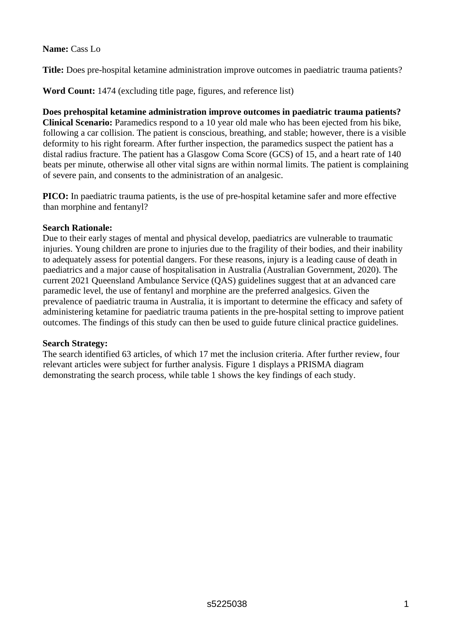### **Name:** Cass Lo

**Title:** Does pre-hospital ketamine administration improve outcomes in paediatric trauma patients?

**Word Count:** 1474 (excluding title page, figures, and reference list)

**Does prehospital ketamine administration improve outcomes in paediatric trauma patients? Clinical Scenario:** Paramedics respond to a 10 year old male who has been ejected from his bike, following a car collision. The patient is conscious, breathing, and stable; however, there is a visible deformity to his right forearm. After further inspection, the paramedics suspect the patient has a distal radius fracture. The patient has a Glasgow Coma Score (GCS) of 15, and a heart rate of 140 beats per minute, otherwise all other vital signs are within normal limits. The patient is complaining of severe pain, and consents to the administration of an analgesic.

**PICO:** In paediatric trauma patients, is the use of pre-hospital ketamine safer and more effective than morphine and fentanyl?

### **Search Rationale:**

Due to their early stages of mental and physical develop, paediatrics are vulnerable to traumatic injuries. Young children are prone to injuries due to the fragility of their bodies, and their inability to adequately assess for potential dangers. For these reasons, injury is a leading cause of death in paediatrics and a major cause of hospitalisation in Australia (Australian Government, 2020). The current 2021 Queensland Ambulance Service (QAS) guidelines suggest that at an advanced care paramedic level, the use of fentanyl and morphine are the preferred analgesics. Given the prevalence of paediatric trauma in Australia, it is important to determine the efficacy and safety of administering ketamine for paediatric trauma patients in the pre-hospital setting to improve patient outcomes. The findings of this study can then be used to guide future clinical practice guidelines.

# **Search Strategy:**

The search identified 63 articles, of which 17 met the inclusion criteria. After further review, four relevant articles were subject for further analysis. Figure 1 displays a PRISMA diagram demonstrating the search process, while table 1 shows the key findings of each study.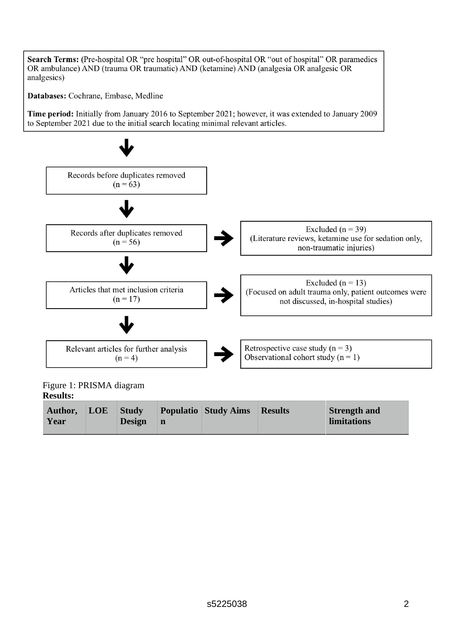Search Terms: (Pre-hospital OR "pre hospital" OR out-of-hospital OR "out of hospital" OR paramedics OR ambulance) AND (trauma OR traumatic) AND (ketamine) AND (analgesia OR analgesic OR analgesics)

Databases: Cochrane, Embase, Medline

Time period: Initially from January 2016 to September 2021; however, it was extended to January 2009 to September 2021 due to the initial search locating minimal relevant articles.



Figure 1: PRISMA diagram **Results:** 

| Author, | LOE | <b>Study</b>  | <b>Populatio Study Aims</b> | <b>Results</b> | <b>Strength and</b> |
|---------|-----|---------------|-----------------------------|----------------|---------------------|
| Year    |     | $Design \, n$ |                             |                | <b>limitations</b>  |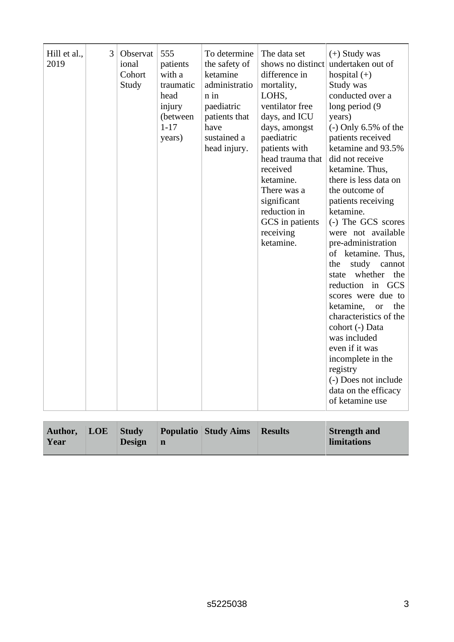|  | Hill et al.,<br>2019 | 3 | Observat<br>ional<br>Cohort<br>Study | 555<br>patients<br>with a<br>traumatic<br>head<br>injury<br>(between<br>$1 - 17$<br>years) | To determine<br>the safety of<br>ketamine<br>administratio<br>$n$ in<br>paediatric<br>patients that<br>have<br>sustained a<br>head injury. | The data set<br>difference in<br>mortality,<br>LOHS,<br>ventilator free<br>days, and ICU<br>days, amongst<br>paediatric<br>patients with<br>head trauma that<br>received<br>ketamine.<br>There was a<br>significant<br>reduction in<br>GCS in patients<br>receiving<br>ketamine. | $(+)$ Study was<br>shows no distinct undertaken out of<br>hospital $(+)$<br>Study was<br>conducted over a<br>long period (9<br>years)<br>$(-)$ Only 6.5% of the<br>patients received<br>ketamine and 93.5%<br>did not receive<br>ketamine. Thus,<br>there is less data on<br>the outcome of<br>patients receiving<br>ketamine.<br>(-) The GCS scores<br>were not available<br>pre-administration<br>of ketamine. Thus,<br>study<br>the<br>cannot<br>whether<br>the<br>state<br>reduction in GCS<br>scores were due to<br>the<br>ketamine,<br><b>or</b><br>characteristics of the<br>cohort (-) Data<br>was included<br>even if it was<br>incomplete in the<br>registry<br>(-) Does not include<br>data on the efficacy<br>of ketamine use |
|--|----------------------|---|--------------------------------------|--------------------------------------------------------------------------------------------|--------------------------------------------------------------------------------------------------------------------------------------------|----------------------------------------------------------------------------------------------------------------------------------------------------------------------------------------------------------------------------------------------------------------------------------|-------------------------------------------------------------------------------------------------------------------------------------------------------------------------------------------------------------------------------------------------------------------------------------------------------------------------------------------------------------------------------------------------------------------------------------------------------------------------------------------------------------------------------------------------------------------------------------------------------------------------------------------------------------------------------------------------------------------------------------------|
|--|----------------------|---|--------------------------------------|--------------------------------------------------------------------------------------------|--------------------------------------------------------------------------------------------------------------------------------------------|----------------------------------------------------------------------------------------------------------------------------------------------------------------------------------------------------------------------------------------------------------------------------------|-------------------------------------------------------------------------------------------------------------------------------------------------------------------------------------------------------------------------------------------------------------------------------------------------------------------------------------------------------------------------------------------------------------------------------------------------------------------------------------------------------------------------------------------------------------------------------------------------------------------------------------------------------------------------------------------------------------------------------------------|

| Author,<br>Year | $\vert$ LOE $\vert$ | <b>Study</b><br>$Design \, n$ |  | <b>Populatio Study Aims</b> | <b>Results</b> | <b>Strength and</b><br>limitations |
|-----------------|---------------------|-------------------------------|--|-----------------------------|----------------|------------------------------------|
|-----------------|---------------------|-------------------------------|--|-----------------------------|----------------|------------------------------------|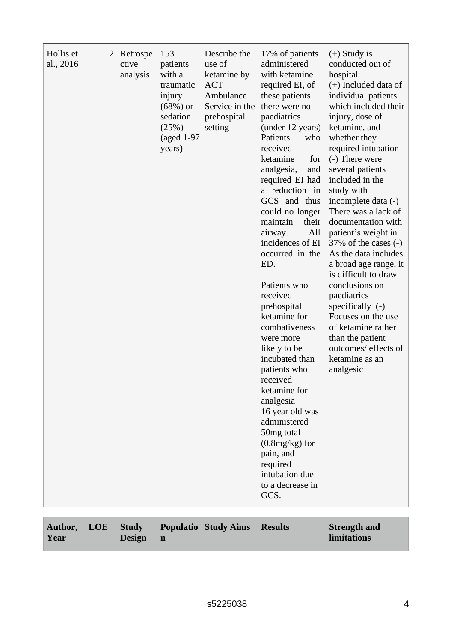| Hollis et<br>al., 2016 | $\overline{2}$ | Retrospe<br>ctive<br>analysis | 153<br>patients<br>with a<br>traumatic<br>injury<br>$(68%)$ or<br>sedation<br>(25%)<br>$(aged 1-97)$<br>years) | Describe the<br>use of<br>ketamine by<br><b>ACT</b><br>Ambulance<br>Service in the<br>prehospital<br>setting | 17% of patients<br>administered<br>with ketamine<br>required EI, of<br>these patients<br>there were no<br>paediatrics<br>(under 12 years)<br>Patients<br>who<br>received<br>ketamine<br>for<br>analgesia,<br>and<br>required EI had<br>a reduction in<br>GCS and thus<br>could no longer<br>maintain<br>their<br>All<br>airway.<br>incidences of EI<br>occurred in the<br>ED.<br>Patients who<br>received<br>prehospital<br>ketamine for<br>combativeness<br>were more<br>likely to be<br>incubated than<br>patients who<br>received<br>ketamine for<br>analgesia<br>16 year old was<br>administered<br>50mg total<br>$(0.8mg/kg)$ for<br>pain, and<br>required<br>intubation due<br>to a decrease in<br>GCS. | $(+)$ Study is<br>conducted out of<br>hospital<br>$(+)$ Included data of<br>individual patients<br>which included their<br>injury, dose of<br>ketamine, and<br>whether they<br>required intubation<br>(-) There were<br>several patients<br>included in the<br>study with<br>incomplete data (-)<br>There was a lack of<br>documentation with<br>patient's weight in<br>$37\%$ of the cases $(-)$<br>As the data includes<br>a broad age range, it<br>is difficult to draw<br>conclusions on<br>paediatrics<br>specifically $(-)$<br>Focuses on the use<br>of ketamine rather<br>than the patient<br>outcomes/ effects of<br>ketamine as an<br>analgesic |
|------------------------|----------------|-------------------------------|----------------------------------------------------------------------------------------------------------------|--------------------------------------------------------------------------------------------------------------|---------------------------------------------------------------------------------------------------------------------------------------------------------------------------------------------------------------------------------------------------------------------------------------------------------------------------------------------------------------------------------------------------------------------------------------------------------------------------------------------------------------------------------------------------------------------------------------------------------------------------------------------------------------------------------------------------------------|----------------------------------------------------------------------------------------------------------------------------------------------------------------------------------------------------------------------------------------------------------------------------------------------------------------------------------------------------------------------------------------------------------------------------------------------------------------------------------------------------------------------------------------------------------------------------------------------------------------------------------------------------------|
|------------------------|----------------|-------------------------------|----------------------------------------------------------------------------------------------------------------|--------------------------------------------------------------------------------------------------------------|---------------------------------------------------------------------------------------------------------------------------------------------------------------------------------------------------------------------------------------------------------------------------------------------------------------------------------------------------------------------------------------------------------------------------------------------------------------------------------------------------------------------------------------------------------------------------------------------------------------------------------------------------------------------------------------------------------------|----------------------------------------------------------------------------------------------------------------------------------------------------------------------------------------------------------------------------------------------------------------------------------------------------------------------------------------------------------------------------------------------------------------------------------------------------------------------------------------------------------------------------------------------------------------------------------------------------------------------------------------------------------|

| Author,<br>Year | LOE \ | <b>Study</b><br><b>Design</b> | $\mathbf n$ | <b>Populatio</b> Study Aims | <b>Results</b> | <b>Strength and</b><br>limitations |
|-----------------|-------|-------------------------------|-------------|-----------------------------|----------------|------------------------------------|
|-----------------|-------|-------------------------------|-------------|-----------------------------|----------------|------------------------------------|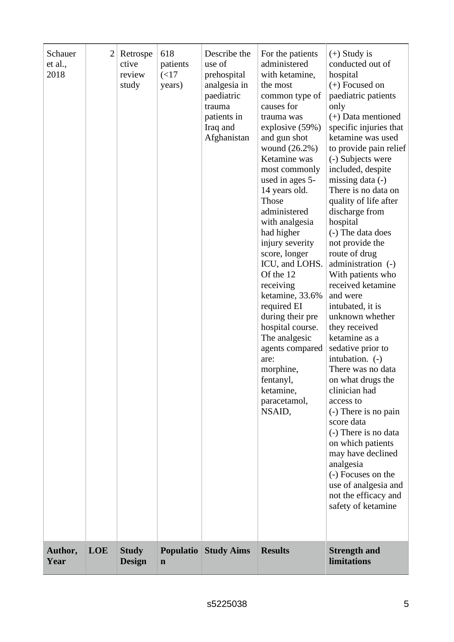| Schauer<br>et al.,<br>2018 | $\overline{2}$ | Retrospe<br>ctive<br>review<br>study | 618<br>patients<br>(<17<br>years) | Describe the<br>use of<br>prehospital<br>analgesia in<br>paediatric<br>trauma<br>patients in<br>Iraq and<br>Afghanistan | For the patients<br>administered<br>with ketamine,<br>the most<br>common type of<br>causes for<br>trauma was<br>explosive (59%)<br>and gun shot<br>wound $(26.2\%)$<br>Ketamine was<br>most commonly<br>used in ages 5-<br>14 years old.<br><b>Those</b><br>administered<br>with analgesia<br>had higher<br>injury severity<br>score, longer<br>ICU, and LOHS.<br>Of the 12<br>receiving<br>ketamine, 33.6%<br>required EI<br>during their pre<br>hospital course.<br>The analgesic<br>agents compared<br>are:<br>morphine,<br>fentanyl,<br>ketamine,<br>paracetamol,<br>NSAID, | $(+)$ Study is<br>conducted out of<br>hospital<br>$(+)$ Focused on<br>paediatric patients<br>only<br>$(+)$ Data mentioned<br>specific injuries that<br>ketamine was used<br>to provide pain relief<br>(-) Subjects were<br>included, despite<br>missing data $(-)$<br>There is no data on<br>quality of life after<br>discharge from<br>hospital<br>(-) The data does<br>not provide the<br>route of drug<br>administration (-)<br>With patients who<br>received ketamine<br>and were<br>intubated, it is<br>unknown whether<br>they received<br>ketamine as a<br>sedative prior to<br>intubation. (-)<br>There was no data<br>on what drugs the<br>clinician had<br>access to<br>(-) There is no pain<br>score data<br>(-) There is no data<br>on which patients<br>may have declined<br>analgesia<br>(-) Focuses on the<br>use of analgesia and<br>not the efficacy and<br>safety of ketamine |
|----------------------------|----------------|--------------------------------------|-----------------------------------|-------------------------------------------------------------------------------------------------------------------------|---------------------------------------------------------------------------------------------------------------------------------------------------------------------------------------------------------------------------------------------------------------------------------------------------------------------------------------------------------------------------------------------------------------------------------------------------------------------------------------------------------------------------------------------------------------------------------|-------------------------------------------------------------------------------------------------------------------------------------------------------------------------------------------------------------------------------------------------------------------------------------------------------------------------------------------------------------------------------------------------------------------------------------------------------------------------------------------------------------------------------------------------------------------------------------------------------------------------------------------------------------------------------------------------------------------------------------------------------------------------------------------------------------------------------------------------------------------------------------------------|
| Author,<br>Year            | <b>LOE</b>     | <b>Study</b><br><b>Design</b>        | $\mathbf n$                       | <b>Populatio Study Aims</b>                                                                                             | <b>Results</b>                                                                                                                                                                                                                                                                                                                                                                                                                                                                                                                                                                  | <b>Strength and</b><br><b>limitations</b>                                                                                                                                                                                                                                                                                                                                                                                                                                                                                                                                                                                                                                                                                                                                                                                                                                                       |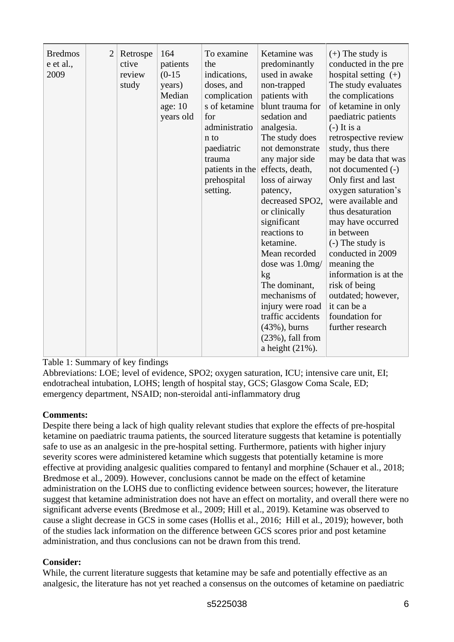| <b>Bredmos</b><br>e et al.,<br>2009 | $\overline{2}$ | Retrospe<br>ctive<br>review<br>study | 164<br>patients<br>$(0-15)$<br>years)<br>Median<br>age: 10<br>years old | To examine<br>the<br>indications,<br>doses, and<br>complication<br>s of ketamine<br>for<br>administratio<br>$n_{10}$<br>paediatric<br>trauma<br>patients in the<br>prehospital<br>setting. | Ketamine was<br>predominantly<br>used in awake<br>non-trapped<br>patients with<br>blunt trauma for<br>sedation and<br>analgesia.<br>The study does<br>not demonstrate<br>any major side<br>effects, death,<br>loss of airway<br>patency,<br>decreased SPO2,<br>or clinically<br>significant<br>reactions to<br>ketamine.<br>Mean recorded<br>dose was 1.0mg/<br>kg<br>The dominant,<br>mechanisms of<br>injury were road<br>traffic accidents<br>$(43\%)$ , burns<br>$(23\%)$ , fall from<br>a height $(21\%)$ . | $(+)$ The study is<br>conducted in the pre<br>hospital setting $(+)$<br>The study evaluates<br>the complications<br>of ketamine in only<br>paediatric patients<br>$(-)$ It is a<br>retrospective review<br>study, thus there<br>may be data that was<br>not documented (-)<br>Only first and last<br>oxygen saturation's<br>were available and<br>thus desaturation<br>may have occurred<br>in between<br>(-) The study is<br>conducted in 2009<br>meaning the<br>information is at the<br>risk of being<br>outdated; however,<br>it can be a<br>foundation for<br>further research |
|-------------------------------------|----------------|--------------------------------------|-------------------------------------------------------------------------|--------------------------------------------------------------------------------------------------------------------------------------------------------------------------------------------|------------------------------------------------------------------------------------------------------------------------------------------------------------------------------------------------------------------------------------------------------------------------------------------------------------------------------------------------------------------------------------------------------------------------------------------------------------------------------------------------------------------|-------------------------------------------------------------------------------------------------------------------------------------------------------------------------------------------------------------------------------------------------------------------------------------------------------------------------------------------------------------------------------------------------------------------------------------------------------------------------------------------------------------------------------------------------------------------------------------|
|-------------------------------------|----------------|--------------------------------------|-------------------------------------------------------------------------|--------------------------------------------------------------------------------------------------------------------------------------------------------------------------------------------|------------------------------------------------------------------------------------------------------------------------------------------------------------------------------------------------------------------------------------------------------------------------------------------------------------------------------------------------------------------------------------------------------------------------------------------------------------------------------------------------------------------|-------------------------------------------------------------------------------------------------------------------------------------------------------------------------------------------------------------------------------------------------------------------------------------------------------------------------------------------------------------------------------------------------------------------------------------------------------------------------------------------------------------------------------------------------------------------------------------|

# Table 1: Summary of key findings

Abbreviations: LOE; level of evidence, SPO2; oxygen saturation, ICU; intensive care unit, EI; endotracheal intubation, LOHS; length of hospital stay, GCS; Glasgow Coma Scale, ED; emergency department, NSAID; non-steroidal anti-inflammatory drug

#### **Comments:**

Despite there being a lack of high quality relevant studies that explore the effects of pre-hospital ketamine on paediatric trauma patients, the sourced literature suggests that ketamine is potentially safe to use as an analgesic in the pre-hospital setting. Furthermore, patients with higher injury severity scores were administered ketamine which suggests that potentially ketamine is more effective at providing analgesic qualities compared to fentanyl and morphine (Schauer et al., 2018; Bredmose et al., 2009). However, conclusions cannot be made on the effect of ketamine administration on the LOHS due to conflicting evidence between sources; however, the literature suggest that ketamine administration does not have an effect on mortality, and overall there were no significant adverse events (Bredmose et al., 2009; Hill et al., 2019). Ketamine was observed to cause a slight decrease in GCS in some cases (Hollis et al., 2016; Hill et al., 2019); however, both of the studies lack information on the difference between GCS scores prior and post ketamine administration, and thus conclusions can not be drawn from this trend.

# **Consider:**

While, the current literature suggests that ketamine may be safe and potentially effective as an analgesic, the literature has not yet reached a consensus on the outcomes of ketamine on paediatric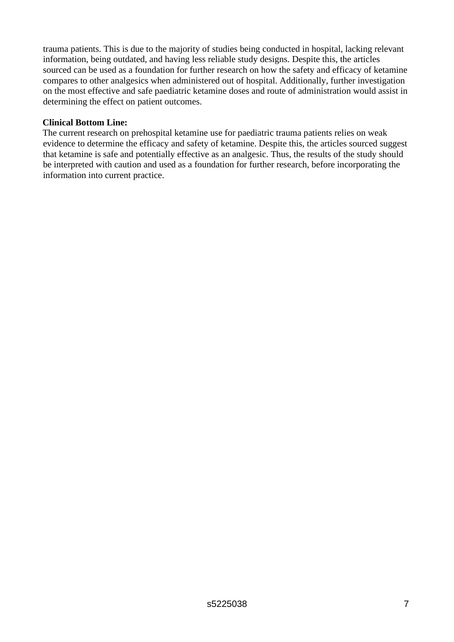trauma patients. This is due to the majority of studies being conducted in hospital, lacking relevant information, being outdated, and having less reliable study designs. Despite this, the articles sourced can be used as a foundation for further research on how the safety and efficacy of ketamine compares to other analgesics when administered out of hospital. Additionally, further investigation on the most effective and safe paediatric ketamine doses and route of administration would assist in determining the effect on patient outcomes.

### **Clinical Bottom Line:**

The current research on prehospital ketamine use for paediatric trauma patients relies on weak evidence to determine the efficacy and safety of ketamine. Despite this, the articles sourced suggest that ketamine is safe and potentially effective as an analgesic. Thus, the results of the study should be interpreted with caution and used as a foundation for further research, before incorporating the information into current practice.